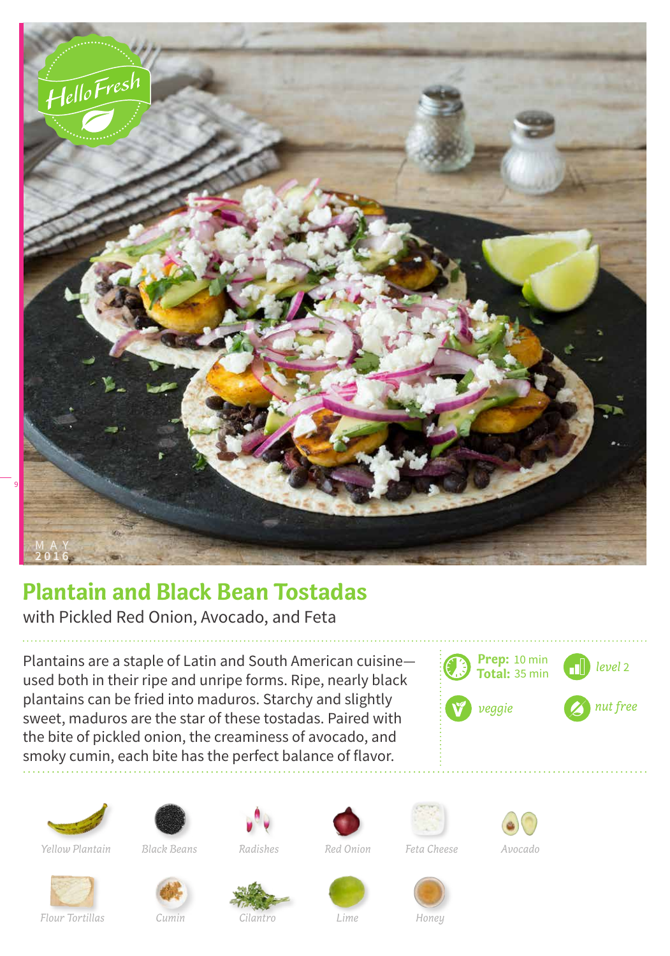

## **Plantain and Black Bean Tostadas**

with Pickled Red Onion, Avocado, and Feta

Plantains are a staple of Latin and South American cuisine used both in their ripe and unripe forms. Ripe, nearly black plantains can be fried into maduros. Starchy and slightly sweet, maduros are the star of these tostadas. Paired with the bite of pickled onion, the creaminess of avocado, and smoky cumin, each bite has the perfect balance of flavor.

















*Flour Tortillas Cumin Cilantro Lime Honey*